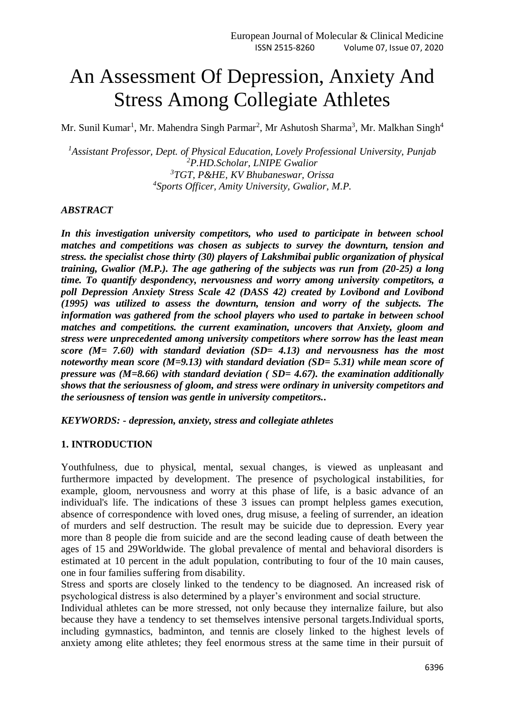# An Assessment Of Depression, Anxiety And Stress Among Collegiate Athletes

Mr. Sunil Kumar<sup>1</sup>, Mr. Mahendra Singh Parmar<sup>2</sup>, Mr Ashutosh Sharma<sup>3</sup>, Mr. Malkhan Singh<sup>4</sup>

*Assistant Professor, Dept. of Physical Education, Lovely Professional University, Punjab P.HD.Scholar, LNIPE Gwalior TGT, P&HE, KV Bhubaneswar, Orissa Sports Officer, Amity University, Gwalior, M.P.*

#### *ABSTRACT*

*In this investigation university competitors, who used to participate in between school matches and competitions was chosen as subjects to survey the downturn, tension and stress. the specialist chose thirty (30) players of Lakshmibai public organization of physical training, Gwalior (M.P.). The age gathering of the subjects was run from (20-25) a long time. To quantify despondency, nervousness and worry among university competitors, a poll Depression Anxiety Stress Scale 42 (DASS 42) created by Lovibond and Lovibond (1995) was utilized to assess the downturn, tension and worry of the subjects. The information was gathered from the school players who used to partake in between school matches and competitions. the current examination, uncovers that Anxiety, gloom and stress were unprecedented among university competitors where sorrow has the least mean score (M= 7.60) with standard deviation (SD= 4.13) and nervousness has the most noteworthy mean score (M=9.13) with standard deviation (SD= 5.31) while mean score of pressure was (M=8.66) with standard deviation ( SD= 4.67). the examination additionally shows that the seriousness of gloom, and stress were ordinary in university competitors and the seriousness of tension was gentle in university competitors..*

*KEYWORDS: - depression, anxiety, stress and collegiate athletes*

#### **1. INTRODUCTION**

Youthfulness, due to physical, mental, sexual changes, is viewed as unpleasant and furthermore impacted by development. The presence of psychological instabilities, for example, gloom, nervousness and worry at this phase of life, is a basic advance of an individual's life. The indications of these 3 issues can prompt helpless games execution, absence of correspondence with loved ones, drug misuse, a feeling of surrender, an ideation of murders and self destruction. The result may be suicide due to depression. Every year more than 8 people die from suicide and are the second leading cause of death between the ages of 15 and 29Worldwide. The global prevalence of mental and behavioral disorders is estimated at 10 percent in the adult population, contributing to four of the 10 main causes, one in four families suffering from disability.

Stress and sports are closely linked to the tendency to be diagnosed. An increased risk of psychological distress is also determined by a player's environment and social structure.

Individual athletes can be more stressed, not only because they internalize failure, but also because they have a tendency to set themselves intensive personal targets.Individual sports, including gymnastics, badminton, and tennis are closely linked to the highest levels of anxiety among elite athletes; they feel enormous stress at the same time in their pursuit of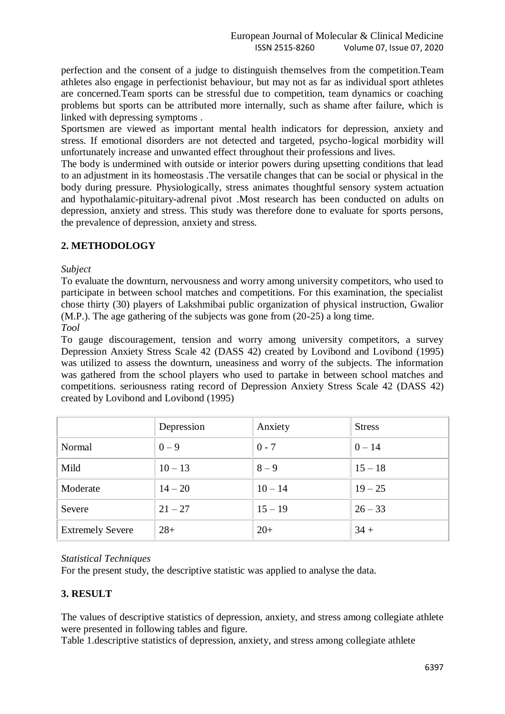perfection and the consent of a judge to distinguish themselves from the competition.Team athletes also engage in perfectionist behaviour, but may not as far as individual sport athletes are concerned.Team sports can be stressful due to competition, team dynamics or coaching problems but sports can be attributed more internally, such as shame after failure, which is linked with depressing symptoms .

Sportsmen are viewed as important mental health indicators for depression, anxiety and stress. If emotional disorders are not detected and targeted, psycho-logical morbidity will unfortunately increase and unwanted effect throughout their professions and lives.

The body is undermined with outside or interior powers during upsetting conditions that lead to an adjustment in its homeostasis .The versatile changes that can be social or physical in the body during pressure. Physiologically, stress animates thoughtful sensory system actuation and hypothalamic-pituitary-adrenal pivot .Most research has been conducted on adults on depression, anxiety and stress. This study was therefore done to evaluate for sports persons, the prevalence of depression, anxiety and stress.

## **2. METHODOLOGY**

*Subject* 

To evaluate the downturn, nervousness and worry among university competitors, who used to participate in between school matches and competitions. For this examination, the specialist chose thirty (30) players of Lakshmibai public organization of physical instruction, Gwalior (M.P.). The age gathering of the subjects was gone from (20-25) a long time.

*Tool* 

To gauge discouragement, tension and worry among university competitors, a survey Depression Anxiety Stress Scale 42 (DASS 42) created by Lovibond and Lovibond (1995) was utilized to assess the downturn, uneasiness and worry of the subjects. The information was gathered from the school players who used to partake in between school matches and competitions. seriousness rating record of Depression Anxiety Stress Scale 42 (DASS 42) created by Lovibond and Lovibond (1995)

|                         | Depression | Anxiety   | <b>Stress</b> |
|-------------------------|------------|-----------|---------------|
| Normal                  | $0 - 9$    | $0 - 7$   | $0 - 14$      |
| Mild                    | $10 - 13$  | $8 - 9$   | $15 - 18$     |
| Moderate                | $14 - 20$  | $10 - 14$ | $19 - 25$     |
| Severe                  | $21 - 27$  | $15 - 19$ | $26 - 33$     |
| <b>Extremely Severe</b> | $28+$      | $20+$     | $34 +$        |

## *Statistical Techniques*

For the present study, the descriptive statistic was applied to analyse the data.

## **3. RESULT**

The values of descriptive statistics of depression, anxiety, and stress among collegiate athlete were presented in following tables and figure.

Table 1.descriptive statistics of depression, anxiety, and stress among collegiate athlete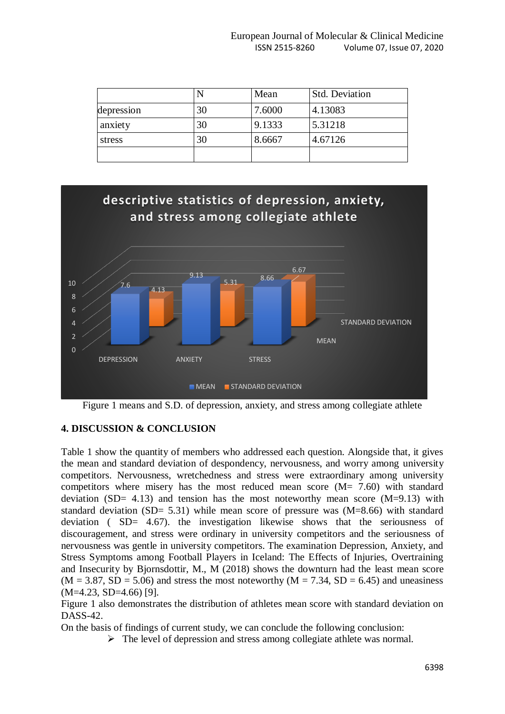|            |    | Mean   | <b>Std. Deviation</b> |
|------------|----|--------|-----------------------|
| depression | 30 | 7.6000 | 4.13083               |
| anxiety    | 30 | 9.1333 | 5.31218               |
| stress     | 30 | 8.6667 | 4.67126               |
|            |    |        |                       |



Figure 1 means and S.D. of depression, anxiety, and stress among collegiate athlete

### **4. DISCUSSION & CONCLUSION**

Table 1 show the quantity of members who addressed each question. Alongside that, it gives the mean and standard deviation of despondency, nervousness, and worry among university competitors. Nervousness, wretchedness and stress were extraordinary among university competitors where misery has the most reduced mean score (M= 7.60) with standard deviation (SD= 4.13) and tension has the most noteworthy mean score (M=9.13) with standard deviation (SD= 5.31) while mean score of pressure was (M=8.66) with standard deviation ( SD= 4.67). the investigation likewise shows that the seriousness of discouragement, and stress were ordinary in university competitors and the seriousness of nervousness was gentle in university competitors. The examination Depression, Anxiety, and Stress Symptoms among Football Players in Iceland: The Effects of Injuries, Overtraining and Insecurity by Bjornsdottir, M., M (2018) shows the downturn had the least mean score  $(M = 3.87, SD = 5.06)$  and stress the most noteworthy  $(M = 7.34, SD = 6.45)$  and uneasiness (M=4.23, SD=4.66) [9].

Figure 1 also demonstrates the distribution of athletes mean score with standard deviation on DASS-42.

On the basis of findings of current study, we can conclude the following conclusion:

 $\triangleright$  The level of depression and stress among collegiate athlete was normal.